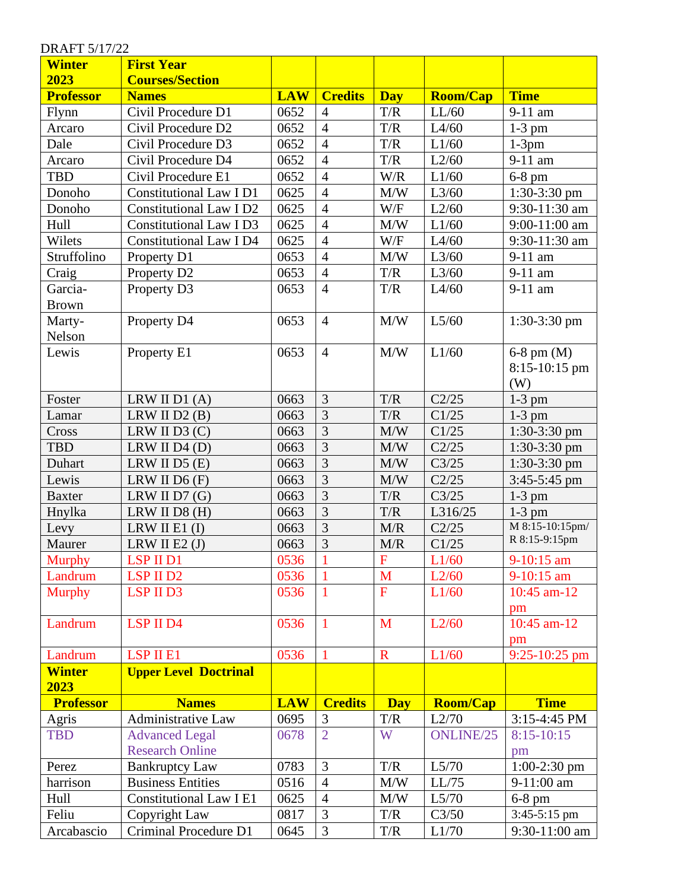| <b>Winter</b>    | <b>First Year</b>              |            |                |                         |                 |                 |
|------------------|--------------------------------|------------|----------------|-------------------------|-----------------|-----------------|
| 2023             | <b>Courses/Section</b>         |            |                |                         |                 |                 |
| <b>Professor</b> | <b>Names</b>                   | <b>LAW</b> | <b>Credits</b> | <b>Day</b>              | <b>Room/Cap</b> | <b>Time</b>     |
| Flynn            | Civil Procedure D1             | 0652       | $\overline{4}$ | T/R                     | LL/60           | 9-11 am         |
| Arcaro           | Civil Procedure D2             | 0652       | $\overline{4}$ | T/R                     | L4/60           | $1-3$ pm        |
| Dale             | Civil Procedure D3             | 0652       | $\overline{4}$ | T/R                     | L1/60           | $1-3$ pm        |
| Arcaro           | Civil Procedure D4             | 0652       | $\overline{4}$ | T/R                     | L2/60           | 9-11 am         |
| <b>TBD</b>       | Civil Procedure E1             | 0652       | $\overline{4}$ | W/R                     | L1/60           | $6-8$ pm        |
| Donoho           | <b>Constitutional Law I D1</b> | 0625       | $\overline{4}$ | M/W                     | L3/60           | $1:30-3:30$ pm  |
| Donoho           | <b>Constitutional Law I D2</b> | 0625       | $\overline{4}$ | W/F                     | L2/60           | 9:30-11:30 am   |
| Hull             | <b>Constitutional Law I D3</b> | 0625       | $\overline{4}$ | M/W                     | L1/60           | 9:00-11:00 am   |
| Wilets           | <b>Constitutional Law I D4</b> | 0625       | $\overline{4}$ | W/F                     | L4/60           | 9:30-11:30 am   |
| Struffolino      | Property D1                    | 0653       | $\overline{4}$ | M/W                     | L3/60           | 9-11 am         |
| Craig            | Property D2                    | 0653       | $\overline{4}$ | T/R                     | L3/60           | 9-11 am         |
| Garcia-          | Property D3                    | 0653       | $\overline{4}$ | T/R                     | L4/60           | 9-11 am         |
| <b>Brown</b>     |                                |            |                |                         |                 |                 |
| Marty-           | Property D4                    | 0653       | $\overline{4}$ | M/W                     | L5/60           | 1:30-3:30 pm    |
| Nelson           |                                |            |                |                         |                 |                 |
| Lewis            | Property E1                    | 0653       | $\overline{4}$ | M/W                     | L1/60           | $6-8$ pm $(M)$  |
|                  |                                |            |                |                         |                 | 8:15-10:15 pm   |
|                  |                                |            |                |                         |                 | (W)             |
| Foster           | LRW II $DI(A)$                 | 0663       | 3              | T/R                     | C2/25           | $1-3$ pm        |
| Lamar            | LRW II $D2(B)$                 | 0663       | 3              | T/R                     | C1/25           | $1-3$ pm        |
| Cross            | LRW II $D3(C)$                 | 0663       | 3              | M/W                     | C1/25           | 1:30-3:30 pm    |
| <b>TBD</b>       | LRW II $D4(D)$                 | 0663       | $\overline{3}$ | M/W                     | C2/25           | $1:30-3:30$ pm  |
| Duhart           | LRW II $D5(E)$                 | 0663       | 3              | M/W                     | C3/25           | $1:30-3:30$ pm  |
| Lewis            | LRW II $D6$ (F)                | 0663       | $\overline{3}$ | M/W                     | C2/25           | $3:45-5:45$ pm  |
| <b>Baxter</b>    | LRW II $D7(G)$                 | 0663       | $\overline{3}$ | T/R                     | C3/25           | $1-3$ pm        |
| Hnylka           | LRW II D8 (H)                  | 0663       | 3              | $\mathrm{T}/\mathrm{R}$ | L316/25         | $1-3$ pm        |
| Levy             | LRW II E1 $(I)$                | 0663       | $\overline{3}$ | M/R                     | C2/25           | M 8:15-10:15pm/ |
| Maurer           | LRW II E2 $(J)$                | 0663       | $\overline{3}$ | M/R                     | C1/25           | R 8:15-9:15pm   |
| <b>Murphy</b>    | LSP II D1                      | 0536       | $\overline{1}$ | $\mathbf{F}$            | L1/60           | 9-10:15 am      |
| Landrum          | LSP II D2                      | 0536       | $\mathbf{1}$   | M                       | L2/60           | 9-10:15 am      |
| <b>Murphy</b>    | LSP II D3                      | 0536       | $\mathbf{1}$   | $\overline{F}$          | L1/60           | $10:45$ am-12   |
|                  |                                |            |                |                         |                 | pm              |
| Landrum          | LSP II D4                      | 0536       | $\mathbf{1}$   | M                       | L2/60           | 10:45 am-12     |
|                  |                                |            |                |                         |                 | pm              |
| Landrum          | LSP II E1                      | 0536       | $\mathbf{1}$   | $\mathbf R$             | L1/60           | $9:25-10:25$ pm |
| <b>Winter</b>    | <b>Upper Level Doctrinal</b>   |            |                |                         |                 |                 |
| 2023             |                                |            |                |                         |                 |                 |
| <b>Professor</b> | <b>Names</b>                   | <b>LAW</b> | <b>Credits</b> | <b>Day</b>              | <b>Room/Cap</b> | <b>Time</b>     |
| Agris            | Administrative Law             | 0695       | 3              | T/R                     | L2/70           | 3:15-4:45 PM    |
| <b>TBD</b>       | <b>Advanced Legal</b>          | 0678       | $\overline{2}$ | W                       | ONLINE/25       | $8:15-10:15$    |
|                  | <b>Research Online</b>         |            |                |                         |                 | pm              |
| Perez            | <b>Bankruptcy Law</b>          | 0783       | 3              | T/R                     | L5/70           | $1:00-2:30$ pm  |
| harrison         | <b>Business Entities</b>       | 0516       | $\overline{4}$ | M/W                     | LL/75           | 9-11:00 am      |
| Hull             | <b>Constitutional Law I E1</b> | 0625       | $\overline{4}$ | M/W                     | L5/70           | $6-8$ pm        |
| Feliu            | Copyright Law                  | 0817       | 3              | T/R                     | C3/50           | 3:45-5:15 pm    |
| Arcabascio       | Criminal Procedure D1          | 0645       | $\mathfrak{Z}$ | T/R                     | L1/70           | $9:30-11:00$ am |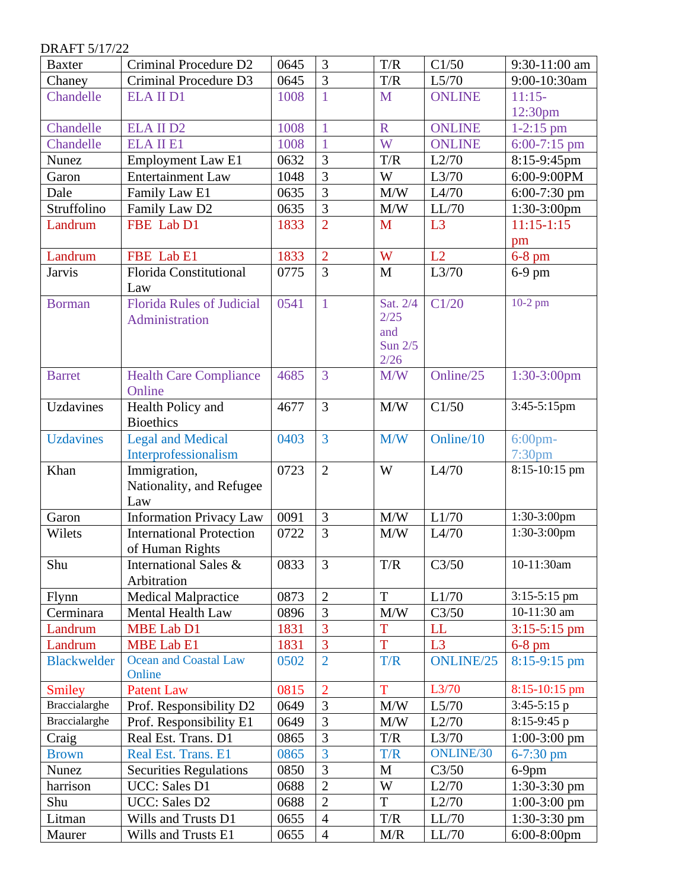| <b>Baxter</b>      | Criminal Procedure D2            | 0645 | 3              | T/R                 | C1/50            | 9:30-11:00 am          |
|--------------------|----------------------------------|------|----------------|---------------------|------------------|------------------------|
| Chaney             | Criminal Procedure D3            | 0645 | $\overline{3}$ | T/R                 | L5/70            | 9:00-10:30am           |
| Chandelle          | <b>ELA II D1</b>                 | 1008 | $\mathbf{1}$   | M                   | <b>ONLINE</b>    | $11:15-$               |
|                    |                                  |      |                |                     |                  | 12:30pm                |
| Chandelle          | <b>ELA II D2</b>                 | 1008 | $\mathbf{1}$   | $\mathbf R$         | <b>ONLINE</b>    | $1-2:15$ pm            |
| Chandelle          | <b>ELA II E1</b>                 | 1008 | $\mathbf{1}$   | W                   | <b>ONLINE</b>    | $6:00-7:15$ pm         |
| <b>Nunez</b>       | <b>Employment Law E1</b>         | 0632 | 3              | T/R                 | L2/70            | 8:15-9:45pm            |
| Garon              | <b>Entertainment Law</b>         | 1048 | $\overline{3}$ | W                   | L3/70            | 6:00-9:00PM            |
| Dale               | Family Law E1                    | 0635 | $\overline{3}$ | M/W                 | L4/70            | $6:00-7:30$ pm         |
| Struffolino        | Family Law D2                    | 0635 | $\overline{3}$ | $\text{M}/\text{W}$ | LL/70            | $1:30-3:00$ pm         |
| Landrum            | FBE Lab D1                       | 1833 | $\overline{2}$ | M                   | L3               | $11:15-1:15$           |
|                    |                                  |      |                |                     |                  | pm                     |
| Landrum            | FBE Lab E1                       | 1833 | $\overline{2}$ | W                   | L2               | $6-8$ pm               |
| <b>Jarvis</b>      | Florida Constitutional           | 0775 | $\overline{3}$ | M                   | L3/70            | $6-9$ pm               |
|                    | Law                              |      |                |                     |                  |                        |
| <b>Borman</b>      | <b>Florida Rules of Judicial</b> | 0541 | $\mathbf{1}$   | Sat. 2/4            | C1/20            | $10-2$ pm              |
|                    | Administration                   |      |                | 2/25                |                  |                        |
|                    |                                  |      |                | and                 |                  |                        |
|                    |                                  |      |                | Sun 2/5<br>2/26     |                  |                        |
| <b>Barret</b>      | <b>Health Care Compliance</b>    | 4685 | 3              | M/W                 | Online/25        | $1:30-3:00$ pm         |
|                    | Online                           |      |                |                     |                  |                        |
| Uzdavines          | Health Policy and                | 4677 | 3              | M/W                 | C1/50            | 3:45-5:15pm            |
|                    | <b>Bioethics</b>                 |      |                |                     |                  |                        |
| <b>Uzdavines</b>   | <b>Legal and Medical</b>         | 0403 | $\overline{3}$ | M/W                 | Online/10        | $6:00$ pm-             |
|                    | Interprofessionalism             |      |                |                     |                  | 7:30 <sub>pm</sub>     |
| Khan               | Immigration,                     | 0723 | $\overline{2}$ | W                   | L4/70            | 8:15-10:15 pm          |
|                    | Nationality, and Refugee         |      |                |                     |                  |                        |
|                    | Law                              |      |                |                     |                  |                        |
| Garon              | <b>Information Privacy Law</b>   | 0091 | 3              | M/W                 | L1/70            | 1:30-3:00pm            |
| Wilets             | <b>International Protection</b>  | 0722 | 3              | M/W                 | L4/70            | 1:30-3:00pm            |
|                    | of Human Rights                  |      |                |                     |                  |                        |
| Shu                | International Sales &            | 0833 | 3              | T/R                 | C3/50            | 10-11:30am             |
|                    | Arbitration                      |      |                |                     |                  |                        |
| <b>Flynn</b>       | <b>Medical Malpractice</b>       | 0873 | $\overline{2}$ | $\mathbf T$         | L1/70            | $3:15-5:15$ pm         |
| Cerminara          | Mental Health Law                | 0896 | 3              | M/W                 | C3/50            | 10-11:30 am            |
| Landrum            | <b>MBE Lab D1</b>                | 1831 | 3              | T                   | LL               | $3:15 - 5:15$ pm       |
| Landrum            | <b>MBE Lab E1</b>                | 1831 | $\overline{3}$ | T                   | L3               | $6-8$ pm               |
| <b>Blackwelder</b> | <b>Ocean and Coastal Law</b>     | 0502 | $\overline{2}$ | T/R                 | ONLINE/25        | $8:15-9:15$ pm         |
|                    | Online                           |      |                |                     |                  |                        |
| <b>Smiley</b>      | <b>Patent Law</b>                | 0815 | $\overline{2}$ | T                   | L3/70            | 8:15-10:15 pm          |
| Braccialarghe      | Prof. Responsibility D2          | 0649 | 3              | M/W                 | L5/70            | $3:45-5:15$ p          |
| Braccialarghe      | Prof. Responsibility E1          | 0649 | 3              | M/W                 | L2/70            | 8:15-9:45 p            |
| Craig              | Real Est. Trans. D1              | 0865 | 3              | T/R                 | L3/70            | $1:00-3:00 \text{ pm}$ |
| <b>Brown</b>       | Real Est. Trans. E1              | 0865 | 3              | T/R                 | <b>ONLINE/30</b> | $6 - 7:30$ pm          |
| Nunez              | <b>Securities Regulations</b>    | 0850 | 3              | M                   | C3/50            | $6-9$ pm               |
| harrison           | <b>UCC:</b> Sales D1             | 0688 | $\mathbf{2}$   | W                   | L2/70            | 1:30-3:30 pm           |
| Shu                | UCC: Sales D2                    | 0688 | $\overline{2}$ | T                   | L2/70            | $1:00-3:00$ pm         |
| Litman             | Wills and Trusts D1              | 0655 | $\overline{4}$ | T/R                 | LL/70            | $1:30-3:30$ pm         |
| Maurer             | Wills and Trusts E1              | 0655 | $\overline{4}$ | M/R                 | LL/70            | $6:00-8:00$ pm         |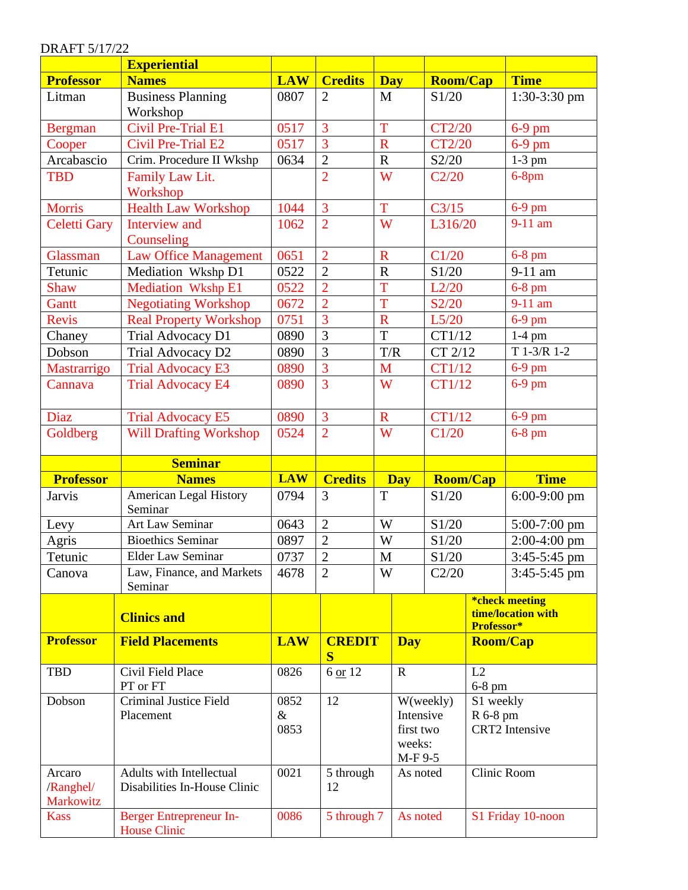|                        | <b>Experiential</b>                                                                 |              |                    |                         |                                                 |                 |                                      |                       |
|------------------------|-------------------------------------------------------------------------------------|--------------|--------------------|-------------------------|-------------------------------------------------|-----------------|--------------------------------------|-----------------------|
| <b>Professor</b>       | <b>Names</b>                                                                        | <b>LAW</b>   | <b>Credits</b>     |                         | <b>Day</b>                                      | <b>Room/Cap</b> |                                      | <b>Time</b>           |
| Litman                 | <b>Business Planning</b><br>Workshop                                                | 0807         | $\overline{2}$     | $\mathbf{M}$            |                                                 | S1/20           |                                      | $1:30-3:30$ pm        |
| <b>Bergman</b>         | <b>Civil Pre-Trial E1</b>                                                           | 0517         | 3                  | T                       |                                                 | CT2/20          |                                      | $6-9$ pm              |
| Cooper                 | <b>Civil Pre-Trial E2</b>                                                           | 0517         | $\overline{3}$     | $\overline{\mathbf{R}}$ |                                                 | CT2/20          |                                      | $6-9$ pm              |
| Arcabascio             | Crim. Procedure II Wkshp                                                            | 0634         | $\overline{2}$     | ${\bf R}$               |                                                 | S2/20           |                                      | $1-3$ pm              |
| <b>TBD</b>             | Family Law Lit.                                                                     |              | $\overline{2}$     | W                       |                                                 | C2/20           |                                      | $6-8$ pm              |
|                        | Workshop                                                                            |              |                    |                         |                                                 |                 |                                      |                       |
| <b>Morris</b>          | <b>Health Law Workshop</b>                                                          | 1044         | 3                  | T                       |                                                 | C3/15           |                                      | $6-9$ pm              |
| <b>Celetti Gary</b>    | Interview and<br>Counseling                                                         | 1062         | $\overline{2}$     | W                       |                                                 | L316/20         |                                      | 9-11 am               |
| Glassman               | <b>Law Office Management</b>                                                        | 0651         | $\overline{2}$     | $\mathbf R$             |                                                 | C1/20           |                                      | $6-8$ pm              |
| Tetunic                | Mediation Wkshp D1                                                                  | 0522         | $\overline{c}$     | $\mathbf R$             |                                                 | S1/20           |                                      | 9-11 am               |
| <b>Shaw</b>            | <b>Mediation</b> Wkshp E1                                                           | 0522         | $\overline{2}$     | T                       |                                                 | L2/20           |                                      | $6-8$ pm              |
| Gantt                  | <b>Negotiating Workshop</b>                                                         | 0672         | $\overline{2}$     | T                       |                                                 | S2/20           |                                      | 9-11 am               |
| Revis                  | <b>Real Property Workshop</b>                                                       | 0751         | $\overline{3}$     | $\mathbf R$             |                                                 | L5/20           |                                      | $6-9$ pm              |
| Chaney                 | Trial Advocacy D1                                                                   | 0890         | $\overline{3}$     | T                       |                                                 | CT1/12          |                                      | $1-4$ pm              |
| Dobson                 | Trial Advocacy D2                                                                   | 0890         | $\overline{3}$     | T/R                     |                                                 | CT 2/12         |                                      | $T$ 1-3/R 1-2         |
| Mastrarrigo            | <b>Trial Advocacy E3</b>                                                            | 0890         | $\overline{3}$     | M                       |                                                 | CT1/12          |                                      | 6-9 pm                |
| Cannava                | <b>Trial Advocacy E4</b>                                                            | 0890         | $\overline{3}$     | W                       |                                                 | CT1/12          |                                      | $6-9$ pm              |
| Diaz                   | <b>Trial Advocacy E5</b>                                                            | 0890         | 3                  | $\mathbf R$             |                                                 | CT1/12          |                                      | $6-9$ pm              |
| Goldberg               | <b>Will Drafting Workshop</b>                                                       | 0524         | $\overline{2}$     | W                       |                                                 | C1/20           |                                      | $6-8$ pm              |
|                        | <b>Seminar</b>                                                                      |              |                    |                         |                                                 |                 |                                      |                       |
| <b>Professor</b>       | <b>Names</b>                                                                        | <b>LAW</b>   | <b>Credits</b>     |                         | <b>Day</b>                                      | <b>Room/Cap</b> |                                      | <b>Time</b>           |
| <b>Jarvis</b>          | <b>American Legal History</b><br>Seminar                                            | 0794         | 3                  | T                       |                                                 | S1/20           |                                      | $6:00-9:00$ pm        |
| Levy                   | Art Law Seminar                                                                     | 0643         | $\overline{2}$     | W                       |                                                 | S1/20           |                                      | $5:00-7:00$ pm        |
| Agris                  | <b>Bioethics Seminar</b>                                                            | 0897         | $\overline{2}$     | W                       |                                                 | S1/20           |                                      | $2:00-4:00$ pm        |
| Tetunic                | Elder Law Seminar                                                                   | 0737         | $\overline{2}$     | $\mathbf M$             |                                                 | S1/20           |                                      | 3:45-5:45 pm          |
| Canova                 | Law, Finance, and Markets<br>Seminar                                                | 4678         | $\overline{2}$     | W                       |                                                 | C2/20           |                                      | $3:45-5:45$ pm        |
|                        | <b>Clinics and</b>                                                                  |              |                    |                         | Professor*                                      |                 | *check meeting<br>time/location with |                       |
| <b>Professor</b>       | <b>Field Placements</b>                                                             | <b>LAW</b>   | <b>CREDIT</b><br>S |                         | <b>Day</b>                                      |                 | <b>Room/Cap</b>                      |                       |
| TBD                    | Civil Field Place<br>PT or FT                                                       | 0826         | 6 or 12            | ${\bf R}$               |                                                 |                 | L2<br>6-8 pm                         |                       |
| Dobson                 | <b>Criminal Justice Field</b><br>Placement                                          | 0852<br>$\&$ | 12                 |                         | W(weekly)<br>S1 weekly<br>Intensive<br>R 6-8 pm |                 |                                      |                       |
|                        |                                                                                     | 0853         |                    |                         | first two<br>weeks:<br>M-F 9-5                  |                 |                                      | <b>CRT2</b> Intensive |
| Arcaro                 |                                                                                     | 0021         |                    | As noted<br>5 through   |                                                 |                 | Clinic Room                          |                       |
| /Ranghel/<br>Markowitz | Adults with Intellectual<br>Disabilities In-House Clinic<br>Berger Entrepreneur In- | 0086         | 12<br>5 through 7  |                         | As noted                                        |                 |                                      | S1 Friday 10-noon     |